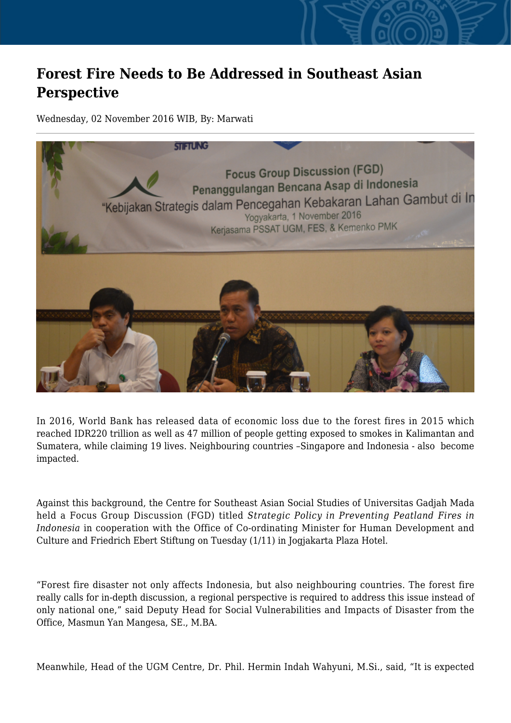## **Forest Fire Needs to Be Addressed in Southeast Asian Perspective**

Wednesday, 02 November 2016 WIB, By: Marwati



In 2016, World Bank has released data of economic loss due to the forest fires in 2015 which reached IDR220 trillion as well as 47 million of people getting exposed to smokes in Kalimantan and Sumatera, while claiming 19 lives. Neighbouring countries –Singapore and Indonesia - also become impacted.

Against this background, the Centre for Southeast Asian Social Studies of Universitas Gadjah Mada held a Focus Group Discussion (FGD) titled *Strategic Policy in Preventing Peatland Fires in Indonesia* in cooperation with the Office of Co-ordinating Minister for Human Development and Culture and Friedrich Ebert Stiftung on Tuesday (1/11) in Jogjakarta Plaza Hotel.

"Forest fire disaster not only affects Indonesia, but also neighbouring countries. The forest fire really calls for in-depth discussion, a regional perspective is required to address this issue instead of only national one," said Deputy Head for Social Vulnerabilities and Impacts of Disaster from the Office, Masmun Yan Mangesa, SE., M.BA.

Meanwhile, Head of the UGM Centre, Dr. Phil. Hermin Indah Wahyuni, M.Si., said, "It is expected